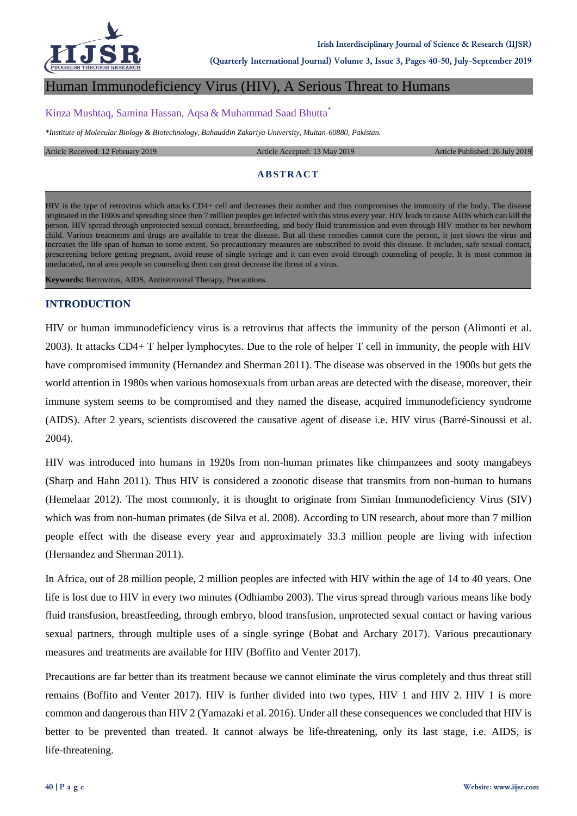

**Irish Interdisciplinary Journal of Science & Research (IIJSR)**

**(Quarterly International Journal) Volume 3, Issue 3, Pages 40-50, July-September 2019**

## Human Immunodeficiency Virus (HIV), A Serious Threat to Humans

#### Kinza Mushtaq, Samina Hassan, Aqsa & Muhammad Saad Bhutta\*

*\*Institute of Molecular Biology & Biotechnology, Bahauddin Zakariya University, Multan-60880, Pakistan.*

#### Article Received: 12 February 2019 Article Accepted: 13 May 2019 Article Published: 26 July 2019

## **ABSTRACT**

HIV is the type of retrovirus which attacks CD4+ cell and decreases their number and thus compromises the immunity of the body. The disease originated in the 1800s and spreading since then 7 million peoples get infected with this virus every year. HIV leads to cause AIDS which can kill the person. HIV spread through unprotected sexual contact, breastfeeding, and body fluid transmission and even through HIV mother to her newborn child. Various treatments and drugs are available to treat the disease. But all these remedies cannot cure the person, it just slows the virus and increases the life span of human to some extent. So precautionary measures are subscribed to avoid this disease. It includes, safe sexual contact, prescreening before getting pregnant, avoid reuse of single syringe and it can even avoid through counseling of people. It is most common in uneducated, rural area people so counseling them can great decrease the threat of a virus.

**Keywords:** Retrovirus, AIDS, Antiretroviral Therapy, Precautions.

#### **INTRODUCTION**

HIV or human immunodeficiency virus is a retrovirus that affects the immunity of the person (Alimonti et al. 2003). It attacks CD4+ T helper lymphocytes. Due to the role of helper T cell in immunity, the people with HIV have compromised immunity (Hernandez and Sherman 2011). The disease was observed in the 1900s but gets the world attention in 1980s when various homosexuals from urban areas are detected with the disease, moreover, their immune system seems to be compromised and they named the disease, acquired immunodeficiency syndrome (AIDS). After 2 years, scientists discovered the causative agent of disease i.e. HIV virus (Barré-Sinoussi et al. 2004).

HIV was introduced into humans in 1920s from non-human primates like chimpanzees and sooty mangabeys (Sharp and Hahn 2011). Thus HIV is considered a zoonotic disease that transmits from non-human to humans (Hemelaar 2012). The most commonly, it is thought to originate from Simian Immunodeficiency Virus (SIV) which was from non-human primates (de Silva et al. 2008). According to UN research, about more than 7 million people effect with the disease every year and approximately 33.3 million people are living with infection (Hernandez and Sherman 2011).

In Africa, out of 28 million people, 2 million peoples are infected with HIV within the age of 14 to 40 years. One life is lost due to HIV in every two minutes (Odhiambo 2003). The virus spread through various means like body fluid transfusion, breastfeeding, through embryo, blood transfusion, unprotected sexual contact or having various sexual partners, through multiple uses of a single syringe (Bobat and Archary 2017). Various precautionary measures and treatments are available for HIV (Boffito and Venter 2017).

Precautions are far better than its treatment because we cannot eliminate the virus completely and thus threat still remains (Boffito and Venter 2017). HIV is further divided into two types, HIV 1 and HIV 2. HIV 1 is more common and dangerous than HIV 2 (Yamazaki et al. 2016). Under all these consequences we concluded that HIV is better to be prevented than treated. It cannot always be life-threatening, only its last stage, i.e. AIDS, is life-threatening.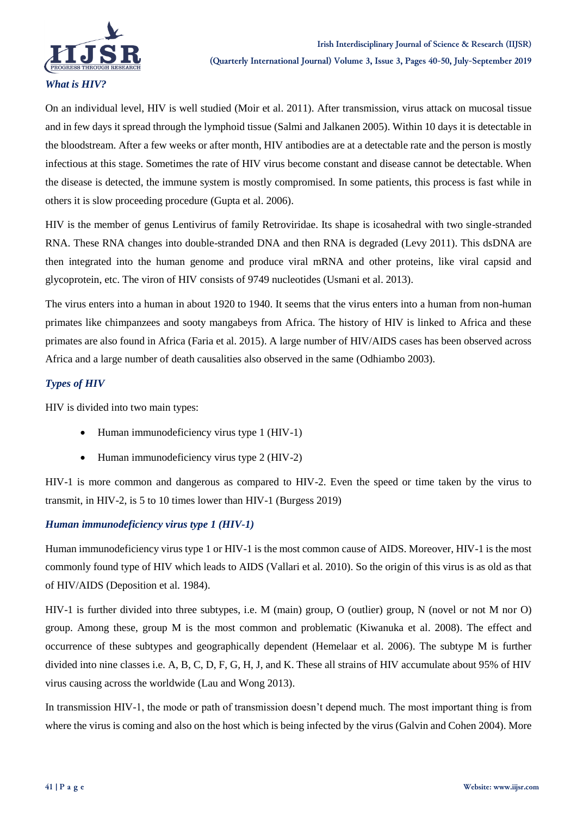

On an individual level, HIV is well studied (Moir et al. 2011). After transmission, virus attack on mucosal tissue and in few days it spread through the lymphoid tissue (Salmi and Jalkanen 2005). Within 10 days it is detectable in the bloodstream. After a few weeks or after month, HIV antibodies are at a detectable rate and the person is mostly infectious at this stage. Sometimes the rate of HIV virus become constant and disease cannot be detectable. When the disease is detected, the immune system is mostly compromised. In some patients, this process is fast while in others it is slow proceeding procedure (Gupta et al. 2006).

HIV is the member of genus Lentivirus of family Retroviridae. Its shape is icosahedral with two single-stranded RNA. These RNA changes into double-stranded DNA and then RNA is degraded (Levy 2011). This dsDNA are then integrated into the human genome and produce viral mRNA and other proteins, like viral capsid and glycoprotein, etc. The viron of HIV consists of 9749 nucleotides (Usmani et al. 2013).

The virus enters into a human in about 1920 to 1940. It seems that the virus enters into a human from non-human primates like chimpanzees and sooty mangabeys from Africa. The history of HIV is linked to Africa and these primates are also found in Africa (Faria et al. 2015). A large number of HIV/AIDS cases has been observed across Africa and a large number of death causalities also observed in the same (Odhiambo 2003).

# *Types of HIV*

HIV is divided into two main types:

- $\bullet$  Human immunodeficiency virus type 1 (HIV-1)
- Human immunodeficiency virus type 2 (HIV-2)

HIV-1 is more common and dangerous as compared to HIV-2. Even the speed or time taken by the virus to transmit, in HIV-2, is 5 to 10 times lower than HIV-1 (Burgess 2019)

# *Human immunodeficiency virus type 1 (HIV-1)*

Human immunodeficiency virus type 1 or HIV-1 is the most common cause of AIDS. Moreover, HIV-1 is the most commonly found type of HIV which leads to AIDS (Vallari et al. 2010). So the origin of this virus is as old as that of HIV/AIDS (Deposition et al. 1984).

HIV-1 is further divided into three subtypes, i.e. M (main) group, O (outlier) group, N (novel or not M nor O) group. Among these, group M is the most common and problematic (Kiwanuka et al. 2008). The effect and occurrence of these subtypes and geographically dependent (Hemelaar et al. 2006). The subtype M is further divided into nine classes i.e. A, B, C, D, F, G, H, J, and K. These all strains of HIV accumulate about 95% of HIV virus causing across the worldwide (Lau and Wong 2013).

In transmission HIV-1, the mode or path of transmission doesn't depend much. The most important thing is from where the virus is coming and also on the host which is being infected by the virus (Galvin and Cohen 2004). More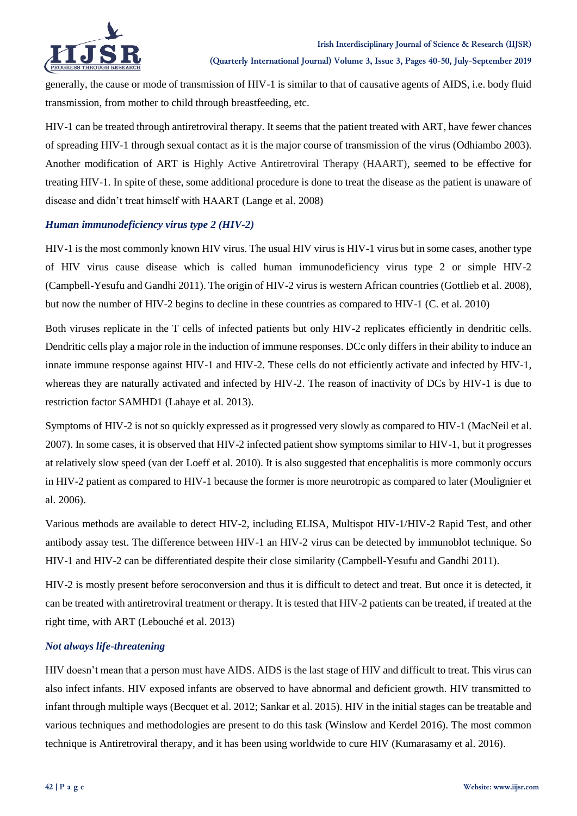

generally, the cause or mode of transmission of HIV-1 is similar to that of causative agents of AIDS, i.e. body fluid transmission, from mother to child through breastfeeding, etc.

HIV-1 can be treated through antiretroviral therapy. It seems that the patient treated with ART, have fewer chances of spreading HIV-1 through sexual contact as it is the major course of transmission of the virus (Odhiambo 2003). Another modification of ART is Highly Active Antiretroviral Therapy (HAART), seemed to be effective for treating HIV-1. In spite of these, some additional procedure is done to treat the disease as the patient is unaware of disease and didn't treat himself with HAART (Lange et al. 2008)

## *Human immunodeficiency virus type 2 (HIV-2)*

HIV-1 is the most commonly known HIV virus. The usual HIV virus is HIV-1 virus but in some cases, another type of HIV virus cause disease which is called human immunodeficiency virus type 2 or simple HIV-2 (Campbell-Yesufu and Gandhi 2011). The origin of HIV-2 virus is western African countries (Gottlieb et al. 2008), but now the number of HIV-2 begins to decline in these countries as compared to HIV-1 (C. et al. 2010)

Both viruses replicate in the T cells of infected patients but only HIV-2 replicates efficiently in dendritic cells. Dendritic cells play a major role in the induction of immune responses. DCc only differs in their ability to induce an innate immune response against HIV-1 and HIV-2. These cells do not efficiently activate and infected by HIV-1, whereas they are naturally activated and infected by HIV-2. The reason of inactivity of DCs by HIV-1 is due to restriction factor SAMHD1 (Lahaye et al. 2013).

Symptoms of HIV-2 is not so quickly expressed as it progressed very slowly as compared to HIV-1 (MacNeil et al. 2007). In some cases, it is observed that HIV-2 infected patient show symptoms similar to HIV-1, but it progresses at relatively slow speed (van der Loeff et al. 2010). It is also suggested that encephalitis is more commonly occurs in HIV-2 patient as compared to HIV-1 because the former is more neurotropic as compared to later (Moulignier et al. 2006).

Various methods are available to detect HIV-2, including ELISA, Multispot HIV-1/HIV-2 Rapid Test, and other antibody assay test. The difference between HIV-1 an HIV-2 virus can be detected by immunoblot technique. So HIV-1 and HIV-2 can be differentiated despite their close similarity (Campbell-Yesufu and Gandhi 2011).

HIV-2 is mostly present before seroconversion and thus it is difficult to detect and treat. But once it is detected, it can be treated with antiretroviral treatment or therapy. It is tested that HIV-2 patients can be treated, if treated at the right time, with ART (Lebouché et al. 2013)

# *Not always life-threatening*

HIV doesn't mean that a person must have AIDS. AIDS is the last stage of HIV and difficult to treat. This virus can also infect infants. HIV exposed infants are observed to have abnormal and deficient growth. HIV transmitted to infant through multiple ways (Becquet et al. 2012; Sankar et al. 2015). HIV in the initial stages can be treatable and various techniques and methodologies are present to do this task (Winslow and Kerdel 2016). The most common technique is Antiretroviral therapy, and it has been using worldwide to cure HIV (Kumarasamy et al. 2016).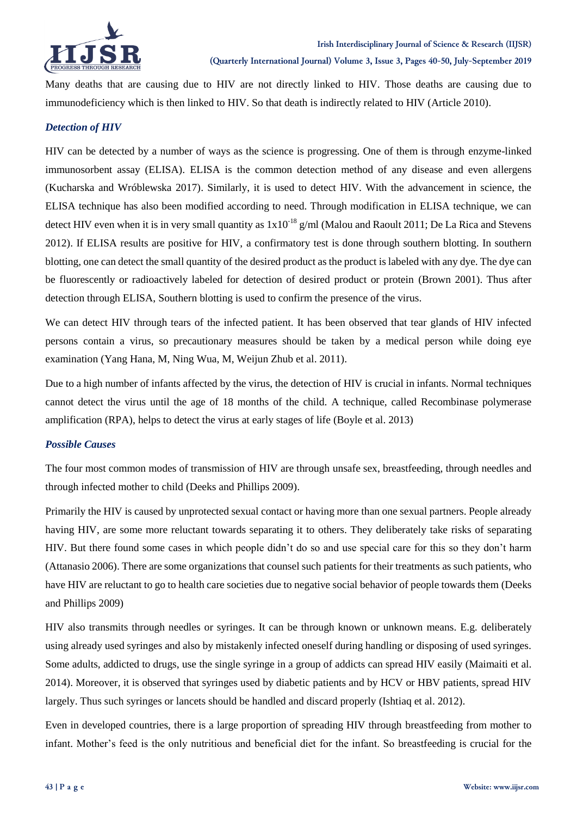

Many deaths that are causing due to HIV are not directly linked to HIV. Those deaths are causing due to immunodeficiency which is then linked to HIV. So that death is indirectly related to HIV (Article 2010).

## *Detection of HIV*

HIV can be detected by a number of ways as the science is progressing. One of them is through enzyme-linked immunosorbent assay (ELISA). ELISA is the common detection method of any disease and even allergens (Kucharska and Wróblewska 2017). Similarly, it is used to detect HIV. With the advancement in science, the ELISA technique has also been modified according to need. Through modification in ELISA technique, we can detect HIV even when it is in very small quantity as  $1x10^{-18}$  g/ml (Malou and Raoult 2011; De La Rica and Stevens 2012). If ELISA results are positive for HIV, a confirmatory test is done through southern blotting. In southern blotting, one can detect the small quantity of the desired product as the product is labeled with any dye. The dye can be fluorescently or radioactively labeled for detection of desired product or protein (Brown 2001). Thus after detection through ELISA, Southern blotting is used to confirm the presence of the virus.

We can detect HIV through tears of the infected patient. It has been observed that tear glands of HIV infected persons contain a virus, so precautionary measures should be taken by a medical person while doing eye examination (Yang Hana, M, Ning Wua, M, Weijun Zhub et al. 2011).

Due to a high number of infants affected by the virus, the detection of HIV is crucial in infants. Normal techniques cannot detect the virus until the age of 18 months of the child. A technique, called Recombinase polymerase amplification (RPA), helps to detect the virus at early stages of life (Boyle et al. 2013)

# *Possible Causes*

The four most common modes of transmission of HIV are through unsafe sex, breastfeeding, through needles and through infected mother to child (Deeks and Phillips 2009).

Primarily the HIV is caused by unprotected sexual contact or having more than one sexual partners. People already having HIV, are some more reluctant towards separating it to others. They deliberately take risks of separating HIV. But there found some cases in which people didn't do so and use special care for this so they don't harm (Attanasio 2006). There are some organizations that counsel such patients for their treatments as such patients, who have HIV are reluctant to go to health care societies due to negative social behavior of people towards them (Deeks and Phillips 2009)

HIV also transmits through needles or syringes. It can be through known or unknown means. E.g. deliberately using already used syringes and also by mistakenly infected oneself during handling or disposing of used syringes. Some adults, addicted to drugs, use the single syringe in a group of addicts can spread HIV easily (Maimaiti et al. 2014). Moreover, it is observed that syringes used by diabetic patients and by HCV or HBV patients, spread HIV largely. Thus such syringes or lancets should be handled and discard properly (Ishtiaq et al. 2012).

Even in developed countries, there is a large proportion of spreading HIV through breastfeeding from mother to infant. Mother's feed is the only nutritious and beneficial diet for the infant. So breastfeeding is crucial for the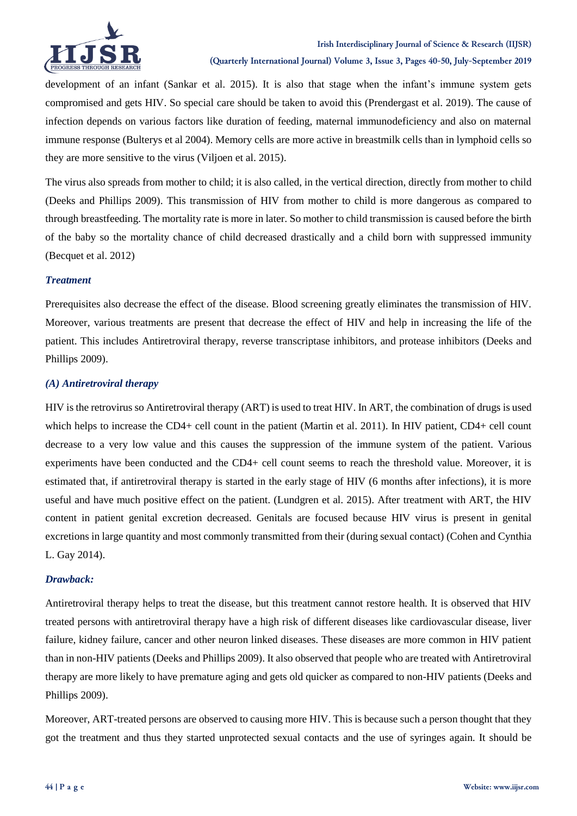

development of an infant (Sankar et al. 2015). It is also that stage when the infant's immune system gets compromised and gets HIV. So special care should be taken to avoid this (Prendergast et al. 2019). The cause of infection depends on various factors like duration of feeding, maternal immunodeficiency and also on maternal immune response (Bulterys et al 2004). Memory cells are more active in breastmilk cells than in lymphoid cells so they are more sensitive to the virus (Viljoen et al. 2015).

The virus also spreads from mother to child; it is also called, in the vertical direction, directly from mother to child (Deeks and Phillips 2009). This transmission of HIV from mother to child is more dangerous as compared to through breastfeeding. The mortality rate is more in later. So mother to child transmission is caused before the birth of the baby so the mortality chance of child decreased drastically and a child born with suppressed immunity (Becquet et al. 2012)

## *Treatment*

Prerequisites also decrease the effect of the disease. Blood screening greatly eliminates the transmission of HIV. Moreover, various treatments are present that decrease the effect of HIV and help in increasing the life of the patient. This includes Antiretroviral therapy, reverse transcriptase inhibitors, and protease inhibitors (Deeks and Phillips 2009).

## *(A) Antiretroviral therapy*

HIV is the retrovirus so Antiretroviral therapy (ART) is used to treat HIV. In ART, the combination of drugs is used which helps to increase the CD4+ cell count in the patient (Martin et al. 2011). In HIV patient, CD4+ cell count decrease to a very low value and this causes the suppression of the immune system of the patient. Various experiments have been conducted and the CD4+ cell count seems to reach the threshold value. Moreover, it is estimated that, if antiretroviral therapy is started in the early stage of HIV (6 months after infections), it is more useful and have much positive effect on the patient. (Lundgren et al. 2015). After treatment with ART, the HIV content in patient genital excretion decreased. Genitals are focused because HIV virus is present in genital excretions in large quantity and most commonly transmitted from their (during sexual contact) (Cohen and Cynthia L. Gay 2014).

# *Drawback:*

Antiretroviral therapy helps to treat the disease, but this treatment cannot restore health. It is observed that HIV treated persons with antiretroviral therapy have a high risk of different diseases like cardiovascular disease, liver failure, kidney failure, cancer and other neuron linked diseases. These diseases are more common in HIV patient than in non-HIV patients (Deeks and Phillips 2009). It also observed that people who are treated with Antiretroviral therapy are more likely to have premature aging and gets old quicker as compared to non-HIV patients (Deeks and Phillips 2009).

Moreover, ART-treated persons are observed to causing more HIV. This is because such a person thought that they got the treatment and thus they started unprotected sexual contacts and the use of syringes again. It should be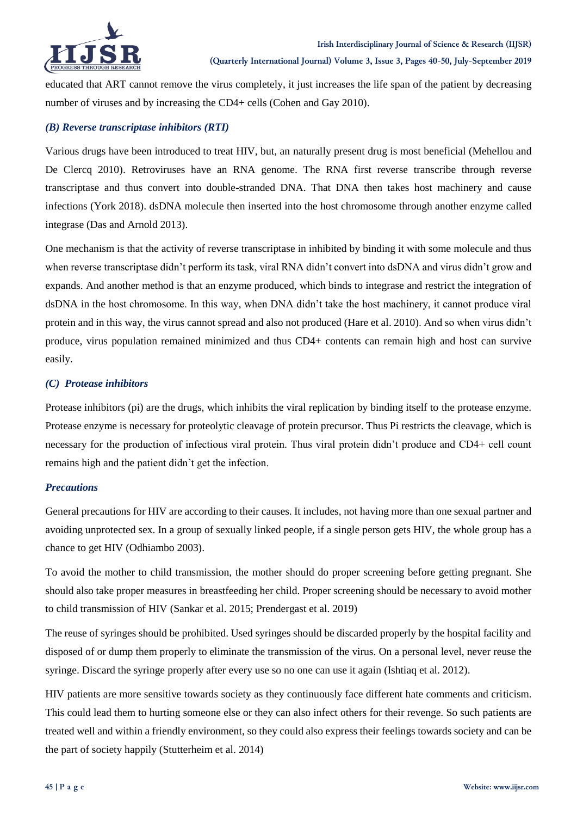

educated that ART cannot remove the virus completely, it just increases the life span of the patient by decreasing number of viruses and by increasing the CD4+ cells (Cohen and Gay 2010).

## *(B) Reverse transcriptase inhibitors (RTI)*

Various drugs have been introduced to treat HIV, but, an naturally present drug is most beneficial (Mehellou and De Clercq 2010). Retroviruses have an RNA genome. The RNA first reverse transcribe through reverse transcriptase and thus convert into double-stranded DNA. That DNA then takes host machinery and cause infections (York 2018). dsDNA molecule then inserted into the host chromosome through another enzyme called integrase (Das and Arnold 2013).

One mechanism is that the activity of reverse transcriptase in inhibited by binding it with some molecule and thus when reverse transcriptase didn't perform its task, viral RNA didn't convert into dsDNA and virus didn't grow and expands. And another method is that an enzyme produced, which binds to integrase and restrict the integration of dsDNA in the host chromosome. In this way, when DNA didn't take the host machinery, it cannot produce viral protein and in this way, the virus cannot spread and also not produced (Hare et al. 2010). And so when virus didn't produce, virus population remained minimized and thus CD4+ contents can remain high and host can survive easily.

## *(C) Protease inhibitors*

Protease inhibitors (pi) are the drugs, which inhibits the viral replication by binding itself to the protease enzyme. Protease enzyme is necessary for proteolytic cleavage of protein precursor. Thus Pi restricts the cleavage, which is necessary for the production of infectious viral protein. Thus viral protein didn't produce and CD4+ cell count remains high and the patient didn't get the infection.

# *Precautions*

General precautions for HIV are according to their causes. It includes, not having more than one sexual partner and avoiding unprotected sex. In a group of sexually linked people, if a single person gets HIV, the whole group has a chance to get HIV (Odhiambo 2003).

To avoid the mother to child transmission, the mother should do proper screening before getting pregnant. She should also take proper measures in breastfeeding her child. Proper screening should be necessary to avoid mother to child transmission of HIV (Sankar et al. 2015; Prendergast et al. 2019)

The reuse of syringes should be prohibited. Used syringes should be discarded properly by the hospital facility and disposed of or dump them properly to eliminate the transmission of the virus. On a personal level, never reuse the syringe. Discard the syringe properly after every use so no one can use it again (Ishtiaq et al. 2012).

HIV patients are more sensitive towards society as they continuously face different hate comments and criticism. This could lead them to hurting someone else or they can also infect others for their revenge. So such patients are treated well and within a friendly environment, so they could also express their feelings towards society and can be the part of society happily (Stutterheim et al. 2014)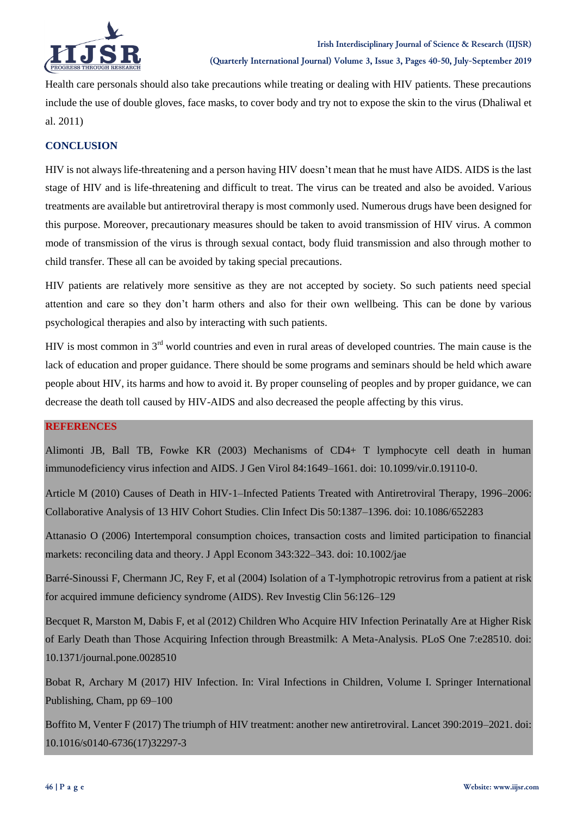

Health care personals should also take precautions while treating or dealing with HIV patients. These precautions include the use of double gloves, face masks, to cover body and try not to expose the skin to the virus (Dhaliwal et al. 2011)

# **CONCLUSION**

HIV is not always life-threatening and a person having HIV doesn't mean that he must have AIDS. AIDS is the last stage of HIV and is life-threatening and difficult to treat. The virus can be treated and also be avoided. Various treatments are available but antiretroviral therapy is most commonly used. Numerous drugs have been designed for this purpose. Moreover, precautionary measures should be taken to avoid transmission of HIV virus. A common mode of transmission of the virus is through sexual contact, body fluid transmission and also through mother to child transfer. These all can be avoided by taking special precautions.

HIV patients are relatively more sensitive as they are not accepted by society. So such patients need special attention and care so they don't harm others and also for their own wellbeing. This can be done by various psychological therapies and also by interacting with such patients.

HIV is most common in 3<sup>rd</sup> world countries and even in rural areas of developed countries. The main cause is the lack of education and proper guidance. There should be some programs and seminars should be held which aware people about HIV, its harms and how to avoid it. By proper counseling of peoples and by proper guidance, we can decrease the death toll caused by HIV-AIDS and also decreased the people affecting by this virus.

# **REFERENCES**

Alimonti JB, Ball TB, Fowke KR (2003) Mechanisms of CD4+ T lymphocyte cell death in human immunodeficiency virus infection and AIDS. J Gen Virol 84:1649–1661. doi: 10.1099/vir.0.19110-0.

Article M (2010) Causes of Death in HIV-1–Infected Patients Treated with Antiretroviral Therapy, 1996–2006: Collaborative Analysis of 13 HIV Cohort Studies. Clin Infect Dis 50:1387–1396. doi: 10.1086/652283

Attanasio O (2006) Intertemporal consumption choices, transaction costs and limited participation to financial markets: reconciling data and theory. J Appl Econom 343:322–343. doi: 10.1002/jae

Barré-Sinoussi F, Chermann JC, Rey F, et al (2004) Isolation of a T-lymphotropic retrovirus from a patient at risk for acquired immune deficiency syndrome (AIDS). Rev Investig Clin 56:126–129

Becquet R, Marston M, Dabis F, et al (2012) Children Who Acquire HIV Infection Perinatally Are at Higher Risk of Early Death than Those Acquiring Infection through Breastmilk: A Meta-Analysis. PLoS One 7:e28510. doi: 10.1371/journal.pone.0028510

Bobat R, Archary M (2017) HIV Infection. In: Viral Infections in Children, Volume I. Springer International Publishing, Cham, pp 69–100

Boffito M, Venter F (2017) The triumph of HIV treatment: another new antiretroviral. Lancet 390:2019–2021. doi: 10.1016/s0140-6736(17)32297-3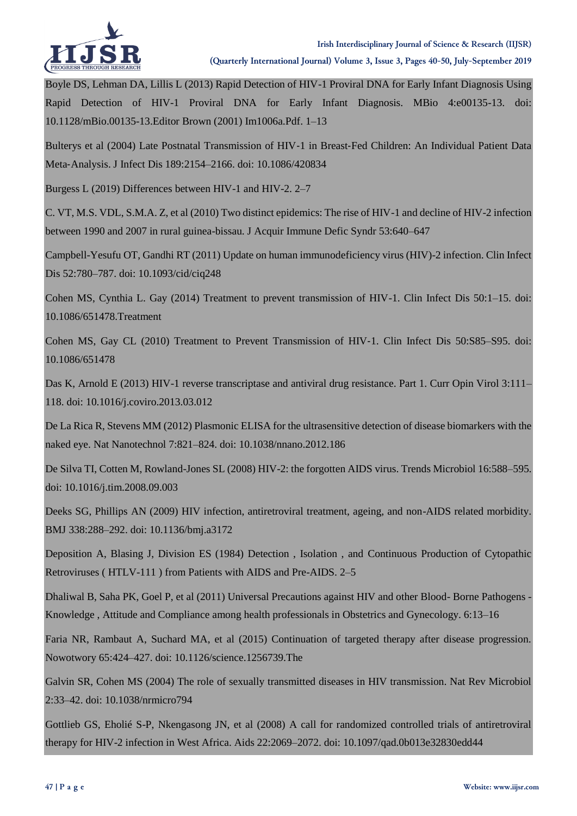

Boyle DS, Lehman DA, Lillis L (2013) Rapid Detection of HIV-1 Proviral DNA for Early Infant Diagnosis Using Rapid Detection of HIV-1 Proviral DNA for Early Infant Diagnosis. MBio 4:e00135-13. doi: 10.1128/mBio.00135-13.Editor Brown (2001) Im1006a.Pdf. 1–13

Bulterys et al (2004) Late Postnatal Transmission of HIV‐1 in Breast‐Fed Children: An Individual Patient Data Meta‐Analysis. J Infect Dis 189:2154–2166. doi: 10.1086/420834

Burgess L (2019) Differences between HIV-1 and HIV-2. 2–7

C. VT, M.S. VDL, S.M.A. Z, et al (2010) Two distinct epidemics: The rise of HIV-1 and decline of HIV-2 infection between 1990 and 2007 in rural guinea-bissau. J Acquir Immune Defic Syndr 53:640–647

Campbell-Yesufu OT, Gandhi RT (2011) Update on human immunodeficiency virus (HIV)-2 infection. Clin Infect Dis 52:780–787. doi: 10.1093/cid/ciq248

Cohen MS, Cynthia L. Gay (2014) Treatment to prevent transmission of HIV-1. Clin Infect Dis 50:1–15. doi: 10.1086/651478.Treatment

Cohen MS, Gay CL (2010) Treatment to Prevent Transmission of HIV‐1. Clin Infect Dis 50:S85–S95. doi: 10.1086/651478

Das K, Arnold E (2013) HIV-1 reverse transcriptase and antiviral drug resistance. Part 1. Curr Opin Virol 3:111– 118. doi: 10.1016/j.coviro.2013.03.012

De La Rica R, Stevens MM (2012) Plasmonic ELISA for the ultrasensitive detection of disease biomarkers with the naked eye. Nat Nanotechnol 7:821–824. doi: 10.1038/nnano.2012.186

De Silva TI, Cotten M, Rowland-Jones SL (2008) HIV-2: the forgotten AIDS virus. Trends Microbiol 16:588–595. doi: 10.1016/j.tim.2008.09.003

Deeks SG, Phillips AN (2009) HIV infection, antiretroviral treatment, ageing, and non-AIDS related morbidity. BMJ 338:288–292. doi: 10.1136/bmj.a3172

Deposition A, Blasing J, Division ES (1984) Detection , Isolation , and Continuous Production of Cytopathic Retroviruses ( HTLV-111 ) from Patients with AIDS and Pre-AIDS. 2–5

Dhaliwal B, Saha PK, Goel P, et al (2011) Universal Precautions against HIV and other Blood- Borne Pathogens - Knowledge , Attitude and Compliance among health professionals in Obstetrics and Gynecology. 6:13–16

Faria NR, Rambaut A, Suchard MA, et al (2015) Continuation of targeted therapy after disease progression. Nowotwory 65:424–427. doi: 10.1126/science.1256739.The

Galvin SR, Cohen MS (2004) The role of sexually transmitted diseases in HIV transmission. Nat Rev Microbiol 2:33–42. doi: 10.1038/nrmicro794

Gottlieb GS, Eholié S-P, Nkengasong JN, et al (2008) A call for randomized controlled trials of antiretroviral therapy for HIV-2 infection in West Africa. Aids 22:2069–2072. doi: 10.1097/qad.0b013e32830edd44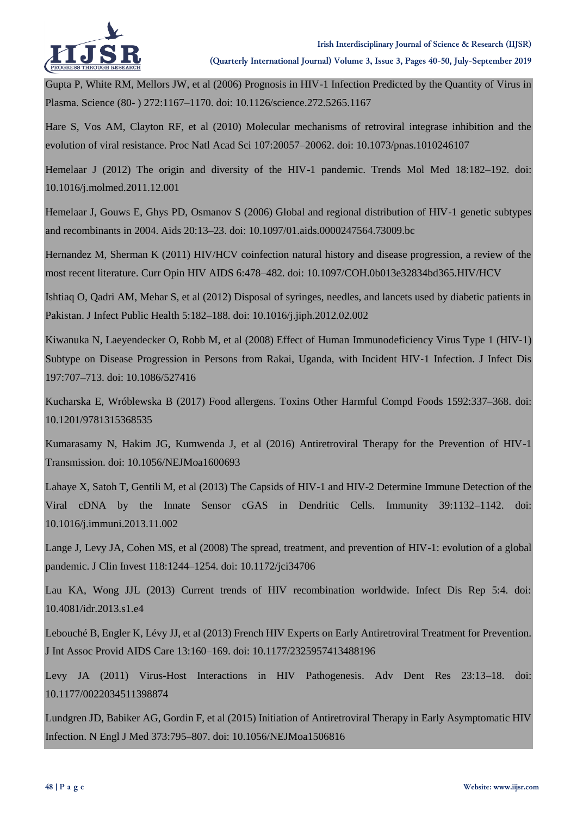

Gupta P, White RM, Mellors JW, et al (2006) Prognosis in HIV-1 Infection Predicted by the Quantity of Virus in Plasma. Science (80- ) 272:1167–1170. doi: 10.1126/science.272.5265.1167

Hare S, Vos AM, Clayton RF, et al (2010) Molecular mechanisms of retroviral integrase inhibition and the evolution of viral resistance. Proc Natl Acad Sci 107:20057–20062. doi: 10.1073/pnas.1010246107

Hemelaar J (2012) The origin and diversity of the HIV-1 pandemic. Trends Mol Med 18:182–192. doi: 10.1016/j.molmed.2011.12.001

Hemelaar J, Gouws E, Ghys PD, Osmanov S (2006) Global and regional distribution of HIV-1 genetic subtypes and recombinants in 2004. Aids 20:13–23. doi: 10.1097/01.aids.0000247564.73009.bc

Hernandez M, Sherman K (2011) HIV/HCV coinfection natural history and disease progression, a review of the most recent literature. Curr Opin HIV AIDS 6:478–482. doi: 10.1097/COH.0b013e32834bd365.HIV/HCV

Ishtiaq O, Qadri AM, Mehar S, et al (2012) Disposal of syringes, needles, and lancets used by diabetic patients in Pakistan. J Infect Public Health 5:182–188. doi: 10.1016/j.jiph.2012.02.002

Kiwanuka N, Laeyendecker O, Robb M, et al (2008) Effect of Human Immunodeficiency Virus Type 1 (HIV‐1) Subtype on Disease Progression in Persons from Rakai, Uganda, with Incident HIV‐1 Infection. J Infect Dis 197:707–713. doi: 10.1086/527416

Kucharska E, Wróblewska B (2017) Food allergens. Toxins Other Harmful Compd Foods 1592:337–368. doi: 10.1201/9781315368535

Kumarasamy N, Hakim JG, Kumwenda J, et al (2016) Antiretroviral Therapy for the Prevention of HIV-1 Transmission. doi: 10.1056/NEJMoa1600693

Lahaye X, Satoh T, Gentili M, et al (2013) The Capsids of HIV-1 and HIV-2 Determine Immune Detection of the Viral cDNA by the Innate Sensor cGAS in Dendritic Cells. Immunity 39:1132–1142. doi: 10.1016/j.immuni.2013.11.002

Lange J, Levy JA, Cohen MS, et al (2008) The spread, treatment, and prevention of HIV-1: evolution of a global pandemic. J Clin Invest 118:1244–1254. doi: 10.1172/jci34706

Lau KA, Wong JJL (2013) Current trends of HIV recombination worldwide. Infect Dis Rep 5:4. doi: 10.4081/idr.2013.s1.e4

Lebouché B, Engler K, Lévy JJ, et al (2013) French HIV Experts on Early Antiretroviral Treatment for Prevention. J Int Assoc Provid AIDS Care 13:160–169. doi: 10.1177/2325957413488196

Levy JA (2011) Virus-Host Interactions in HIV Pathogenesis. Adv Dent Res 23:13–18. doi: 10.1177/0022034511398874

Lundgren JD, Babiker AG, Gordin F, et al (2015) Initiation of Antiretroviral Therapy in Early Asymptomatic HIV Infection. N Engl J Med 373:795–807. doi: 10.1056/NEJMoa1506816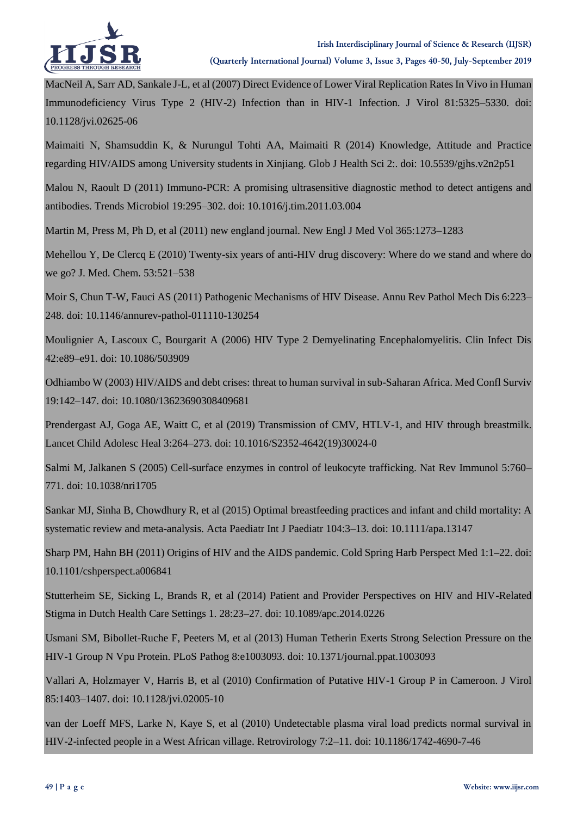

MacNeil A, Sarr AD, Sankale J-L, et al (2007) Direct Evidence of Lower Viral Replication Rates In Vivo in Human Immunodeficiency Virus Type 2 (HIV-2) Infection than in HIV-1 Infection. J Virol 81:5325–5330. doi: 10.1128/jvi.02625-06

Maimaiti N, Shamsuddin K, & Nurungul Tohti AA, Maimaiti R (2014) Knowledge, Attitude and Practice regarding HIV/AIDS among University students in Xinjiang. Glob J Health Sci 2:. doi: 10.5539/gjhs.v2n2p51

Malou N, Raoult D (2011) Immuno-PCR: A promising ultrasensitive diagnostic method to detect antigens and antibodies. Trends Microbiol 19:295–302. doi: 10.1016/j.tim.2011.03.004

Martin M, Press M, Ph D, et al (2011) new england journal. New Engl J Med Vol 365:1273–1283

Mehellou Y, De Clercq E (2010) Twenty-six years of anti-HIV drug discovery: Where do we stand and where do we go? J. Med. Chem. 53:521–538

Moir S, Chun T-W, Fauci AS (2011) Pathogenic Mechanisms of HIV Disease. Annu Rev Pathol Mech Dis 6:223– 248. doi: 10.1146/annurev-pathol-011110-130254

Moulignier A, Lascoux C, Bourgarit A (2006) HIV Type 2 Demyelinating Encephalomyelitis. Clin Infect Dis 42:e89–e91. doi: 10.1086/503909

Odhiambo W (2003) HIV/AIDS and debt crises: threat to human survival in sub-Saharan Africa. Med Confl Surviv 19:142–147. doi: 10.1080/13623690308409681

Prendergast AJ, Goga AE, Waitt C, et al (2019) Transmission of CMV, HTLV-1, and HIV through breastmilk. Lancet Child Adolesc Heal 3:264–273. doi: 10.1016/S2352-4642(19)30024-0

Salmi M, Jalkanen S (2005) Cell-surface enzymes in control of leukocyte trafficking. Nat Rev Immunol 5:760– 771. doi: 10.1038/nri1705

Sankar MJ, Sinha B, Chowdhury R, et al (2015) Optimal breastfeeding practices and infant and child mortality: A systematic review and meta-analysis. Acta Paediatr Int J Paediatr 104:3–13. doi: 10.1111/apa.13147

Sharp PM, Hahn BH (2011) Origins of HIV and the AIDS pandemic. Cold Spring Harb Perspect Med 1:1–22. doi: 10.1101/cshperspect.a006841

Stutterheim SE, Sicking L, Brands R, et al (2014) Patient and Provider Perspectives on HIV and HIV-Related Stigma in Dutch Health Care Settings 1. 28:23–27. doi: 10.1089/apc.2014.0226

Usmani SM, Bibollet-Ruche F, Peeters M, et al (2013) Human Tetherin Exerts Strong Selection Pressure on the HIV-1 Group N Vpu Protein. PLoS Pathog 8:e1003093. doi: 10.1371/journal.ppat.1003093

Vallari A, Holzmayer V, Harris B, et al (2010) Confirmation of Putative HIV-1 Group P in Cameroon. J Virol 85:1403–1407. doi: 10.1128/jvi.02005-10

van der Loeff MFS, Larke N, Kaye S, et al (2010) Undetectable plasma viral load predicts normal survival in HIV-2-infected people in a West African village. Retrovirology 7:2–11. doi: 10.1186/1742-4690-7-46